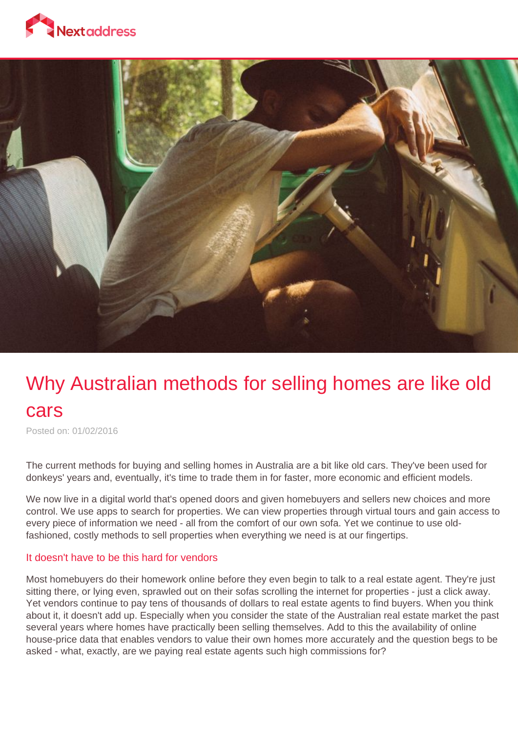



# Why Australian methods for selling homes are like old cars

Posted on: 01/02/2016

The current methods for buying and selling homes in Australia are a bit like old cars. They've been used for donkeys' years and, eventually, it's time to trade them in for faster, more economic and efficient models.

We now live in a digital world that's opened doors and given homebuyers and sellers new choices and more control. We use apps to search for properties. We can view properties through virtual tours and gain access to every piece of information we need - all from the comfort of our own sofa. Yet we continue to use oldfashioned, costly methods to sell properties when everything we need is at our fingertips.

#### It doesn't have to be this hard for vendors

Most homebuyers do their homework online before they even begin to talk to a real estate agent. They're just sitting there, or lying even, sprawled out on their sofas scrolling the internet for properties - just a click away. Yet vendors continue to pay tens of thousands of dollars to real estate agents to find buyers. When you think about it, it doesn't add up. Especially when you consider the state of the Australian real estate market the past several years where homes have practically been selling themselves. Add to this the availability of online house-price data that enables vendors to value their own homes more accurately and the question begs to be asked - what, exactly, are we paying real estate agents such high commissions for?